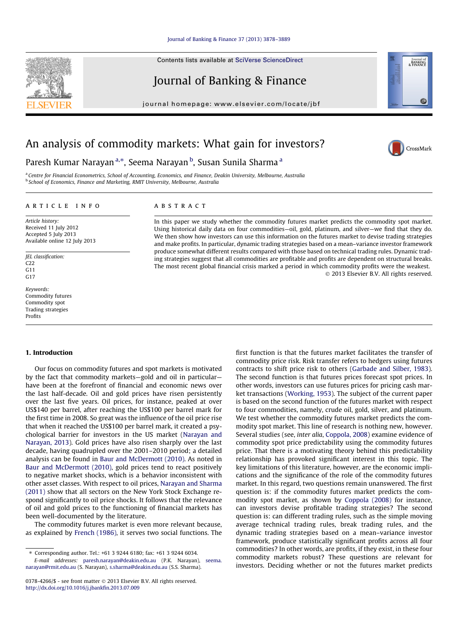#### [Journal of Banking & Finance 37 \(2013\) 3878–3889](http://dx.doi.org/10.1016/j.jbankfin.2013.07.009)

Contents lists available at [SciVerse ScienceDirect](http://www.sciencedirect.com/science/journal/03784266)

# Journal of Banking & Finance

journal homepage: [www.elsevier.com/locate/jbf](http://www.elsevier.com/locate/jbf)

## An analysis of commodity markets: What gain for investors?

## Paresh Kumar Narayan<sup>a,</sup>\*, Seema Narayan <sup>b</sup>, Susan Sunila Sharma <sup>a</sup>

<sup>a</sup> Centre for Financial Econometrics, School of Accounting, Economics, and Finance, Deakin University, Melbourne, Australia b School of Economics, Finance and Marketing, RMIT University, Melbourne, Australia

## article info

Article history: Received 11 July 2012 Accepted 5 July 2013 Available online 12 July 2013

JEL classification:  $C22$ G11 G17

Keywords: Commodity futures Commodity spot Trading strategies Profits

## 1. Introduction

Our focus on commodity futures and spot markets is motivated by the fact that commodity markets—gold and oil in particular have been at the forefront of financial and economic news over the last half-decade. Oil and gold prices have risen persistently over the last five years. Oil prices, for instance, peaked at over US\$140 per barrel, after reaching the US\$100 per barrel mark for the first time in 2008. So great was the influence of the oil price rise that when it reached the US\$100 per barrel mark, it created a psychological barrier for investors in the US market [\(Narayan and](#page--1-0) [Narayan, 2013](#page--1-0)). Gold prices have also risen sharply over the last decade, having quadrupled over the 2001–2010 period; a detailed analysis can be found in [Baur and McDermott \(2010\).](#page--1-0) As noted in [Baur and McDermott \(2010\),](#page--1-0) gold prices tend to react positively to negative market shocks, which is a behavior inconsistent with other asset classes. With respect to oil prices, [Narayan and Sharma](#page--1-0) [\(2011\)](#page--1-0) show that all sectors on the New York Stock Exchange respond significantly to oil price shocks. It follows that the relevance of oil and gold prices to the functioning of financial markets has been well-documented by the literature.

The commodity futures market is even more relevant because, as explained by [French \(1986\),](#page--1-0) it serves two social functions. The

## **ARSTRACT**

In this paper we study whether the commodity futures market predicts the commodity spot market. Using historical daily data on four commodities—oil, gold, platinum, and silver—we find that they do. We then show how investors can use this information on the futures market to devise trading strategies and make profits. In particular, dynamic trading strategies based on a mean–variance investor framework produce somewhat different results compared with those based on technical trading rules. Dynamic trading strategies suggest that all commodities are profitable and profits are dependent on structural breaks. The most recent global financial crisis marked a period in which commodity profits were the weakest. - 2013 Elsevier B.V. All rights reserved.

> first function is that the futures market facilitates the transfer of commodity price risk. Risk transfer refers to hedgers using futures contracts to shift price risk to others [\(Garbade and Silber, 1983\)](#page--1-0). The second function is that futures prices forecast spot prices. In other words, investors can use futures prices for pricing cash market transactions ([Working, 1953\)](#page--1-0). The subject of the current paper is based on the second function of the futures market with respect to four commodities, namely, crude oil, gold, silver, and platinum. We test whether the commodity futures market predicts the commodity spot market. This line of research is nothing new, however. Several studies (see, inter alia, [Coppola, 2008\)](#page--1-0) examine evidence of commodity spot price predictability using the commodity futures price. That there is a motivating theory behind this predictability relationship has provoked significant interest in this topic. The key limitations of this literature, however, are the economic implications and the significance of the role of the commodity futures market. In this regard, two questions remain unanswered. The first question is: if the commodity futures market predicts the commodity spot market, as shown by [Coppola \(2008\)](#page--1-0) for instance, can investors devise profitable trading strategies? The second question is: can different trading rules, such as the simple moving average technical trading rules, break trading rules, and the dynamic trading strategies based on a mean–variance investor framework, produce statistically significant profits across all four commodities? In other words, are profits, if they exist, in these four commodity markets robust? These questions are relevant for investors. Deciding whether or not the futures market predicts





Journal of<br>BANKING<br>& FINANCE 60

<sup>⇑</sup> Corresponding author. Tel.: +61 3 9244 6180; fax: +61 3 9244 6034. E-mail addresses: [paresh.narayan@deakin.edu.au](mailto:paresh.narayan@deakin.edu.au) (P.K. Narayan), [seema.](mailto:seema.narayan@rmit.edu.au) [narayan@rmit.edu.au](mailto:seema.narayan@rmit.edu.au) (S. Narayan), [s.sharma@deakin.edu.au](mailto:s.sharma@deakin.edu.au) (S.S. Sharma).

<sup>0378-4266/\$ -</sup> see front matter © 2013 Elsevier B.V. All rights reserved. <http://dx.doi.org/10.1016/j.jbankfin.2013.07.009>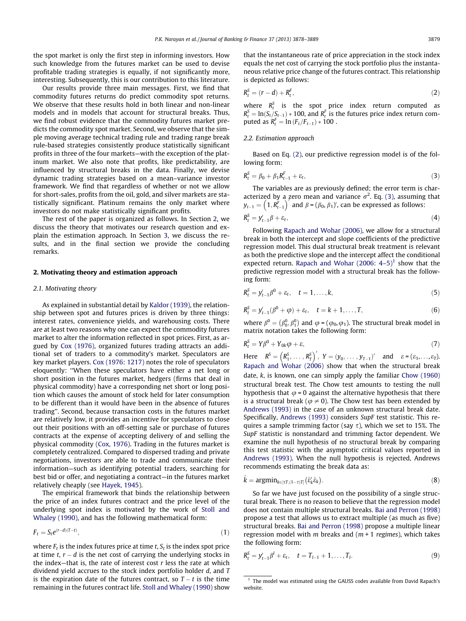the spot market is only the first step in informing investors. How such knowledge from the futures market can be used to devise profitable trading strategies is equally, if not significantly more, interesting. Subsequently, this is our contribution to this literature.

Our results provide three main messages. First, we find that commodity futures returns do predict commodity spot returns. We observe that these results hold in both linear and non-linear models and in models that account for structural breaks. Thus, we find robust evidence that the commodity futures market predicts the commodity spot market. Second, we observe that the simple moving average technical trading rule and trading range break rule-based strategies consistently produce statistically significant profits in three of the four markets—with the exception of the platinum market. We also note that profits, like predictability, are influenced by structural breaks in the data. Finally, we devise dynamic trading strategies based on a mean–variance investor framework. We find that regardless of whether or not we allow for short-sales, profits from the oil, gold, and silver markets are statistically significant. Platinum remains the only market where investors do not make statistically significant profits.

The rest of the paper is organized as follows. In Section 2, we discuss the theory that motivates our research question and explain the estimation approach. In Section [3](#page--1-0), we discuss the results, and in the final section we provide the concluding remarks.

## 2. Motivating theory and estimation approach

#### 2.1. Motivating theory

As explained in substantial detail by [Kaldor \(1939\),](#page--1-0) the relationship between spot and futures prices is driven by three things: interest rates, convenience yields, and warehousing costs. There are at least two reasons why one can expect the commodity futures market to alter the information reflected in spot prices. First, as argued by [Cox \(1976\),](#page--1-0) organized futures trading attracts an additional set of traders to a commodity's market. Speculators are key market players. [Cox \(1976: 1217\)](#page--1-0) notes the role of speculators eloquently: ''When these speculators have either a net long or short position in the futures market, hedgers (firms that deal in physical commodity) have a corresponding net short or long position which causes the amount of stock held for later consumption to be different than it would have been in the absence of futures trading''. Second, because transaction costs in the futures market are relatively low, it provides an incentive for speculators to close out their positions with an off-setting sale or purchase of futures contracts at the expense of accepting delivery of and selling the physical commodity [\(Cox, 1976](#page--1-0)). Trading in the futures market is completely centralized. Compared to dispersed trading and private negotiations, investors are able to trade and communicate their information—such as identifying potential traders, searching for best bid or offer, and negotiating a contract—in the futures market relatively cheaply (see [Hayek, 1945\)](#page--1-0).

The empirical framework that binds the relationship between the price of an index futures contract and the price level of the underlying spot index is motivated by the work of [Stoll and](#page--1-0) [Whaley \(1990\)](#page--1-0), and has the following mathematical form:

$$
F_t = S_t e^{(r-d)(T-t)},\tag{1}
$$

where  $F_t$  is the index futures price at time t,  $S_t$  is the index spot price at time t,  $r - d$  is the net cost of carrying the underlying stocks in the index-that is, the rate of interest cost  $r$  less the rate at which dividend yield accrues to the stock index portfolio holder d, and T is the expiration date of the futures contract, so  $T-t$  is the time remaining in the futures contract life. [Stoll and Whaley \(1990\)](#page--1-0) show that the instantaneous rate of price appreciation in the stock index equals the net cost of carrying the stock portfolio plus the instantaneous relative price change of the futures contract. This relationship is depicted as follows:

$$
R_t^S = (r - d) + R_t^F,\tag{2}
$$

where  $R_t^S$  is the spot price index return computed as  $R_t^S = \ln(S_t/S_{t-1}) * 100$ , and  $R_t^F$  is the futures price index return computed as  $R_t^F = \ln (F_t/F_{t-1}) * 100$ .

## 2.2. Estimation approach

Based on Eq. (2), our predictive regression model is of the following form:

$$
R_t^S = \beta_0 + \beta_1 R_{t-1}^F + \varepsilon_t, \tag{3}
$$

The variables are as previously defined; the error term is characterized by a zero mean and variance  $\sigma^2$ . Eq. (3), assuming that  ${\mathcal{y}}_{t-1} = \left( \left. \mathbb{1}, \mathsf{R}_{t-1}^{\text{F}}\right.\right)^{\cdot}$  and  $\beta$  =  $(\beta_0, \beta_1)^{\prime}$ , can be expressed as follows:

$$
R_t^S = y_{t-1}'\beta + \varepsilon_t,\tag{4}
$$

Following [Rapach and Wohar \(2006\)](#page--1-0), we allow for a structural break in both the intercept and slope coefficients of the predictive regression model. This dual structural break treatment is relevant as both the predictive slope and the intercept affect the conditional expected return. Rapach and Wohar  $(2006: 4-5)^1$  show that the predictive regression model with a structural break has the following form:

$$
R_t^S = y'_{t-1} \beta^0 + \varepsilon_t, \quad t = 1, \dots, k,
$$
\n(5)

$$
R_t^S = y'_{t-1}(\beta^0 + \varphi) + \varepsilon_t, \quad t = k+1, \dots, T,
$$
 (6)

where  $\beta^0 = (\beta_0^0, \beta_1^0)$  and  $\varphi = (\varphi_0, \varphi_1)$ . The structural break model in matrix notation takes the following form:

$$
R_t^S = Y\beta^0 + Y_{0k}\varphi + \varepsilon,\tag{7}
$$

Here  $R^S = (R_1^S, \ldots, R_T^S)$  $(R_1^S, \ldots, R_T^S)'$ ,  $Y = (y_0, \ldots, y_{T-1})'$  and  $\varepsilon = (\varepsilon_1, \ldots, \varepsilon_T)$ . Rapach and Wohar  $(2006)$  show that when the structural break date, k, is known, one can simply apply the familiar [Chow \(1960\)](#page--1-0) structural break test. The Chow test amounts to testing the null hypothesis that  $\varphi = 0$  against the alternative hypothesis that there is a structural break ( $\varphi \neq 0$ ). The Chow test has been extended by [Andrews \(1993\)](#page--1-0) in the case of an unknown structural break date. Specifically, [Andrews \(1993\)](#page--1-0) considers SupF test statistic. This requires a sample trimming factor (say  $\tau$ ), which we set to 15%. The SupF statistic is nonstandard and trimming factor dependent. We examine the null hypothesis of no structural break by comparing this test statistic with the asymptotic critical values reported in [Andrews \(1993\)](#page--1-0). When the null hypothesis is rejected, Andrews recommends estimating the break data as:

$$
\hat{k} = \operatorname{argmin}_{k \in [\tau T, (1-\tau)T]} (\hat{\varepsilon}'_k \hat{\varepsilon}_k). \tag{8}
$$

So far we have just focused on the possibility of a single structural break. There is no reason to believe that the regression model does not contain multiple structural breaks. [Bai and Perron \(1998\)](#page--1-0) propose a test that allows us to extract multiple (as much as five) structural breaks. [Bai and Perron \(1998\)](#page--1-0) propose a multiple linear regression model with m breaks and  $(m + 1$  regimes), which takes the following form:

$$
R_t^S = y'_{t-1} \beta^l + \varepsilon_t, \quad t = T_{l-1} + 1, \dots, T_l.
$$
 (9)

 $^{\rm 1}$  The model was estimated using the GAUSS codes available from David Rapach's website.